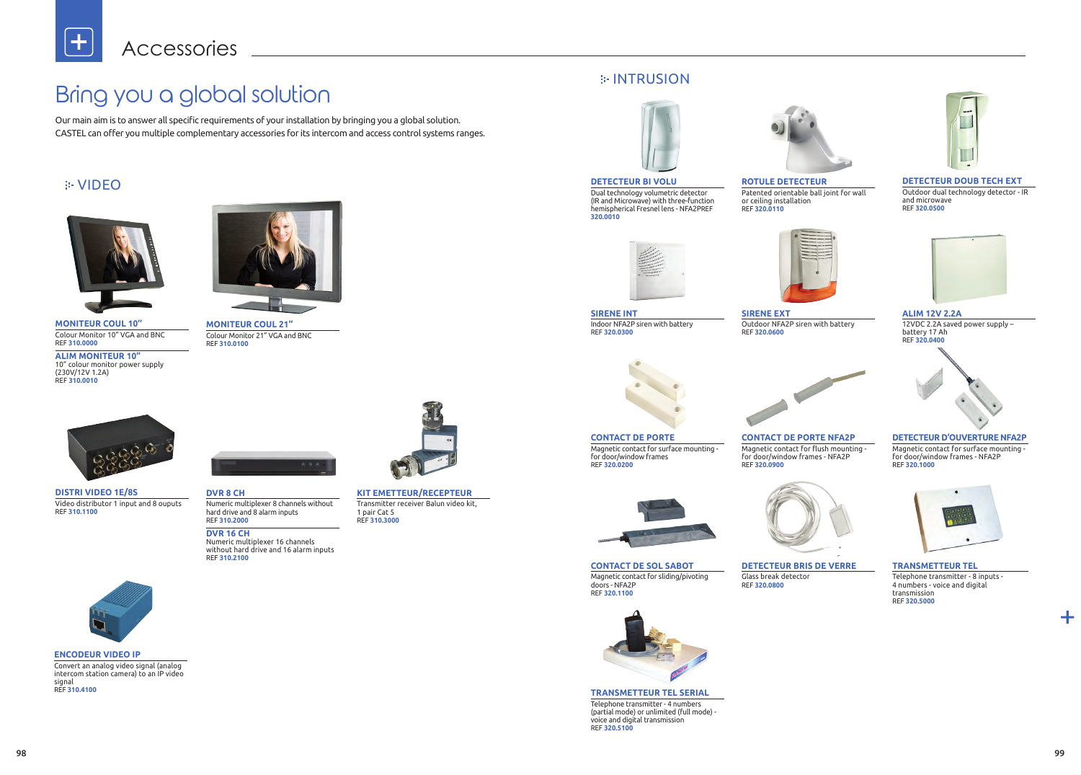╋



**MONITEUR COUL 10''** Colour Monitor 10" VGA and BNC REF **310.0000**

**ALIM MONITEUR 10''** 10" colour monitor power supply (230V/12V 1.2A) REF **310.0010**

**DISTRI VIDEO 1E/8S** Video distributor 1 input and 8 ouputs REF **310.1100**



**ENCODEUR VIDEO IP** Convert an analog video signal (analog intercom station camera) to an IP video signal REF **310.4100**

**ALIM 12V 2.2A** 12VDC 2.2A saved power supply – battery 17 Ah REF **320.0400**

### **DETECTEUR D'OUVERTURE NFA2P**

Magnetic contact for surface mounting for door/window frames - NFA2P REF **320.1000**



### **TRANSMETTEUR TEL**

Telephone transmitter - 8 inputs - 4 numbers - voice and digital transmission REF **320.5000**

### **DETECTEUR DOUB TECH EXT**

Outdoor dual technology detector - IR and microwave REF **320.0500**





**MONITEUR COUL 21''** Colour Monitor 21" VGA and BNC REF **310.0100**





**DVR 8 CH** Numeric multiplexer 8 channels without hard drive and 8 alarm inputs REF **310.2000**

**DVR 16 CH** Numeric multiplexer 16 channels without hard drive and 16 alarm inputs REF **310.2100**



Dual technology volumetric detector (IR and Microwave) with three-function hemispherical Fresnel lens - NFA2PREF

**320.0010**



**CONTACT DE SOL SABOT** Magnetic contact for sliding/pivoting doors - NFA2P REF **320.1100**

Telephone transmitter - 4 numbers (partial mode) or unlimited (full mode) voice and digital transmission REF **320.5100**



**SIRENE INT** Indoor NFA2P siren with battery REF **320.0300**

**SIRENE EXT** REF **320.0600**



**CONTACT DE PORTE** Magnetic contact for surface mounting for door/window frames REF **320.0200**



**KIT EMETTEUR/RECEPTEUR** Transmitter receiver Balun video kit, 1 pair Cat 5 REF **310.3000**

Glass break detector REF **320.0800**



**TRANSMETTEUR TEL SERIAL**



**ROTULE DETECTEUR** Patented orientable ball joint for wall or ceiling installation REF **320.0110**



**CONTACT DE PORTE NFA2P** Magnetic contact for flush mounting -



for door/window frames - NFA2P REF **320.0900**



**DETECTEUR BRIS DE VERRE**





Outdoor NFA2P siren with battery

## VIDEO

 $\div$ 



Our main aim is to answer all specific requirements of your installation by bringing you a global solution. CASTEL can offer you multiple complementary accessories for its intercom and access control systems ranges.

# Bring you a global solution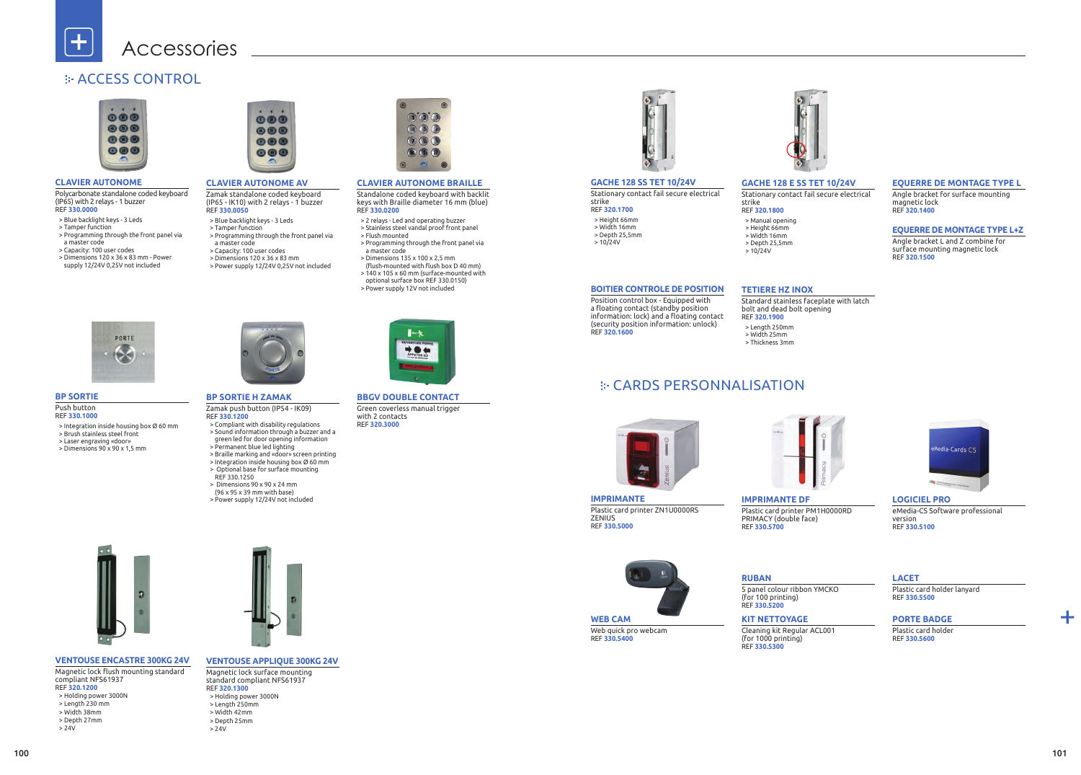╋

## **E-ACCESS CONTROL**



### **CLAVIER AUTONOME**

Polycarbonate standalone coded keyboard (IP65) with 2 relays - 1 buzzer REF **330.0000**

- > Blue backlight keys 3 Leds
- > Tamper function

╊

> Height 66mm > Width 16mm > Depth 25,5mm  $> 10/24V$ 

- > Programming through the front panel via a master code
- > Capacity: 100 user codes
- > Dimensions 120 x 36 x 83 mm Power
- supply 12/24V 0,25V not included



### **GACHE 128 SS TET 10/24V**

Stationary contact fail secure electrical strike REF **320.1700**

**IMPRIMANTE** Plastic card printer ZN1U0000RS ZENIUS REF **330.5000**



Web quick pro webcam REF **330.5400**

Position control box - Equipped with a floating contact (standby position information: lock) and a floating contact (security position information: unlock) REF **320.1600**



**BP SORTIE** Push button REF **330.1000**

- > Integration inside housing box Ø 60 mm
- > Brush stainless steel front
- > Laser engraving «door»
- > Dimensions 90 x 90 x 1,5 mm



**VENTOUSE ENCASTRE 300KG 24V** Magnetic lock flush mounting standard

- compliant NFS61937
- REF **320.1200**
- > Holding power 3000N
- > Length 230 mm > Width 38mm
- > Depth 27mm
- 
- > 24V

- > Height 66mm > Width 16mm
- > Depth 25,5mm  $> 10/24V$
- **BOITIER CONTROLE DE POSITION**

### **CLAVIER AUTONOME AV**

Zamak standalone coded keyboard (IP65 - IK10) with 2 relays - 1 buzzer REF **330.0050**

- Magnetic lock surface mounting standard compliant NFS61937 REF **320.1300** > Holding power 3000N > Length 250mm > Width 42mm > Depth 25mm
- 
- 
- 
- $> 24V$



- > Blue backlight keys 3 Leds
- > Tamper function
- > Programming through the front panel via a master code
- > Capacity: 100 user codes
- > Dimensions 120 x 36 x 83 mm
- > Power supply 12/24V 0,25V not included

### **GACHE 128 E SS TET 10/24V** Stationary contact fail secure electrical

### strike REF **320.1800** > Manual opening

**IMPRIMANTE DF** Plastic card printer PM1H0000RD PRIMACY (double face) REF **330.5700**

5 panel colour ribbon YMCKO





### **LACET**

Plastic card holder lanyard REF **330.5500**

### **TETIERE HZ INOX**

Standard stainless faceplate with latch



bolt and dead bolt opening REF **320.1900** > Length 250mm > Width 25mm > Thickness 3mm

### **BP SORTIE H ZAMAK**

REF **330.1200**



- > Sound information through a buzzer and a
- green led for door opening information > Permanent blue led lighting
- 
- > Integration inside housing box Ø 60 mm
- 
- > Dimensions 90 x 90 x 24 mm
- 



- 
- > Braille marking and «door» screen printing
- > Optional base for surface mounting
- REF 330.1250
- 
- (96 x 95 x 39 mm with base)
- > Power supply 12/24V not included



### **VENTOUSE APPLIQUE 300KG 24V**

### **CLAVIER AUTONOME BRAILLE**

Standalone coded keyboard with backlit keys with Braille diameter 16 mm (blue) REF **330.0200**

- > 2 relays Led and operating buzzer > Stainless steel vandal proof front panel > Flush mounted
- > Programming through the front panel via a master code
- > Dimensions 135 x 100 x 2,5 mm
- (flush-mounted with flush box D 40 mm)
- > 140 x 105 x 60 mm (surface-mounted with
- optional surface box REF 330.0150) > Power supply 12V not included





### **EQUERRE DE MONTAGE TYPE L**

Angle bracket for surface mounting magnetic lock REF **320.1400**

**LOGICIEL PRO** eMedia-CS Software professional version REF **330.5100**

**KIT NETTOYAGE** Cleaning kit Regular ACL001 (for 1000 printing) REF **330.5300**

### **PORTE BADGE**

Plastic card holder REF **330.5600**

### **EQUERRE DE MONTAGE TYPE L+Z**

Angle bracket L and Z combine for surface mounting magnetic lock REF **320.1500**

**BBGV DOUBLE CONTACT** Green coverless manual trigger with 2 contacts REF **320.3000**



## CARDS PERSONNALISATION